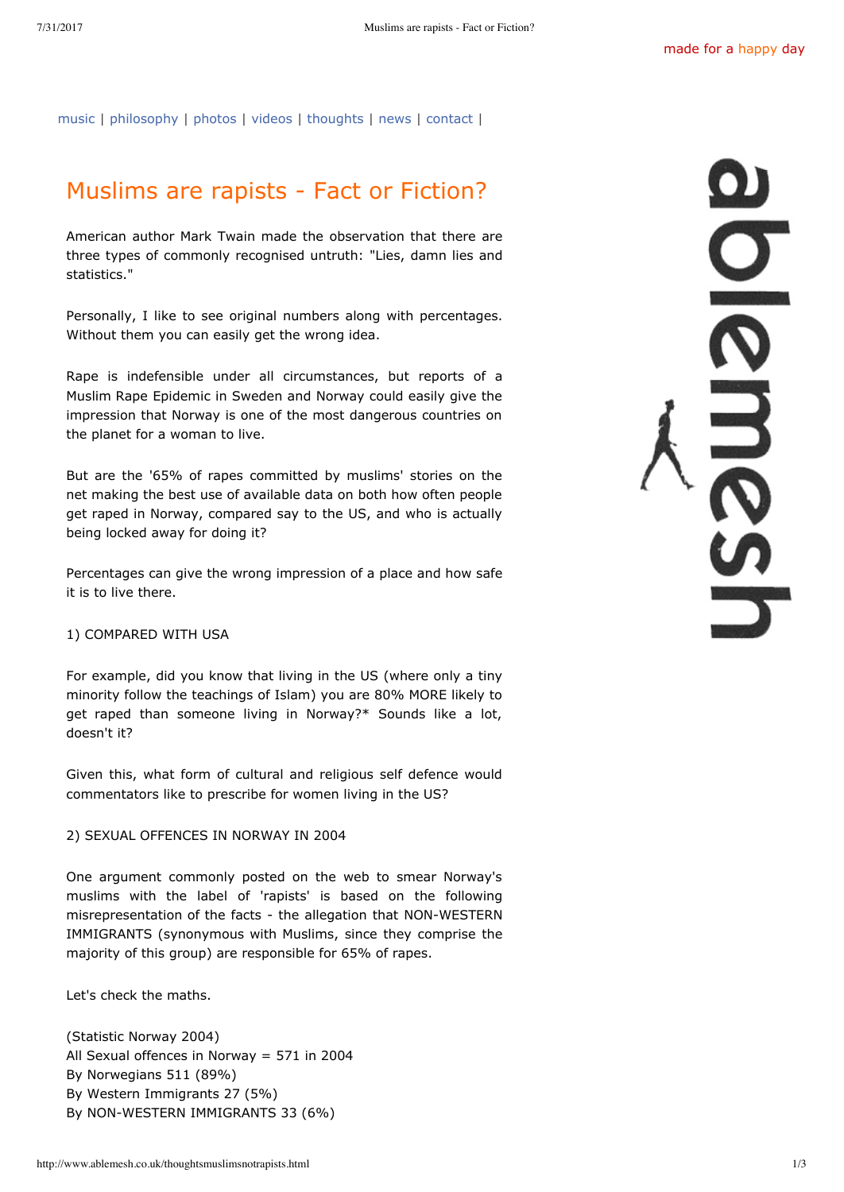<span id="page-0-0"></span>[music](http://www.ablemesh.co.uk/index.html) | [philosophy](http://www.ablemesh.co.uk/philosophy.html) | [photos](http://www.ablemesh.co.uk/Photos/photos.htm) | [videos](http://www.ablemesh.co.uk/videos.html) | [thoughts](http://www.ablemesh.co.uk/thoughts.html) | [news](http://www.ablemesh.co.uk/news.html) | [contact](http://www.ablemesh.co.uk/contact.html) |

## Muslims are rapists - Fact or Fiction?

American author Mark Twain made the observation that there are three types of commonly recognised untruth: "Lies, damn lies and statistics."

Personally, I like to see original numbers along with percentages. Without them you can easily get the wrong idea.

Rape is indefensible under all circumstances, but reports of a Muslim Rape Epidemic in Sweden and Norway could easily give the impression that Norway is one of the most dangerous countries on the planet for a woman to live.

But are the '65% of rapes committed by muslims' stories on the net making the best use of available data on both how often people get raped in Norway, compared say to the US, and who is actually being locked away for doing it?

Percentages can give the wrong impression of a place and how safe it is to live there.

1) COMPARED WITH USA

For example, did you know that living in the US (where only a tiny minority follow the teachings of Islam) you are 80% MORE likely to get raped than someone living in Norway?\* Sounds like a lot, doesn't it?

Given this, what form of cultural and religious self defence would commentators like to prescribe for women living in the US?

## 2) SEXUAL OFFENCES IN NORWAY IN 2004

One argument commonly posted on the web to smear Norway's muslims with the label of 'rapists' is based on the following misrepresentation of the facts - the allegation that NON-WESTERN IMMIGRANTS (synonymous with Muslims, since they comprise the majority of this group) are responsible for 65% of rapes.

Let's check the maths.

(Statistic Norway 2004) All Sexual offences in Norway = 571 in 2004 By Norwegians 511 (89%) By Western Immigrants 27 (5%) By NON-WESTERN IMMIGRANTS 33 (6%)

 $\overline{\mathbf{O}}$  $\overline{\overline{0}}$ Mes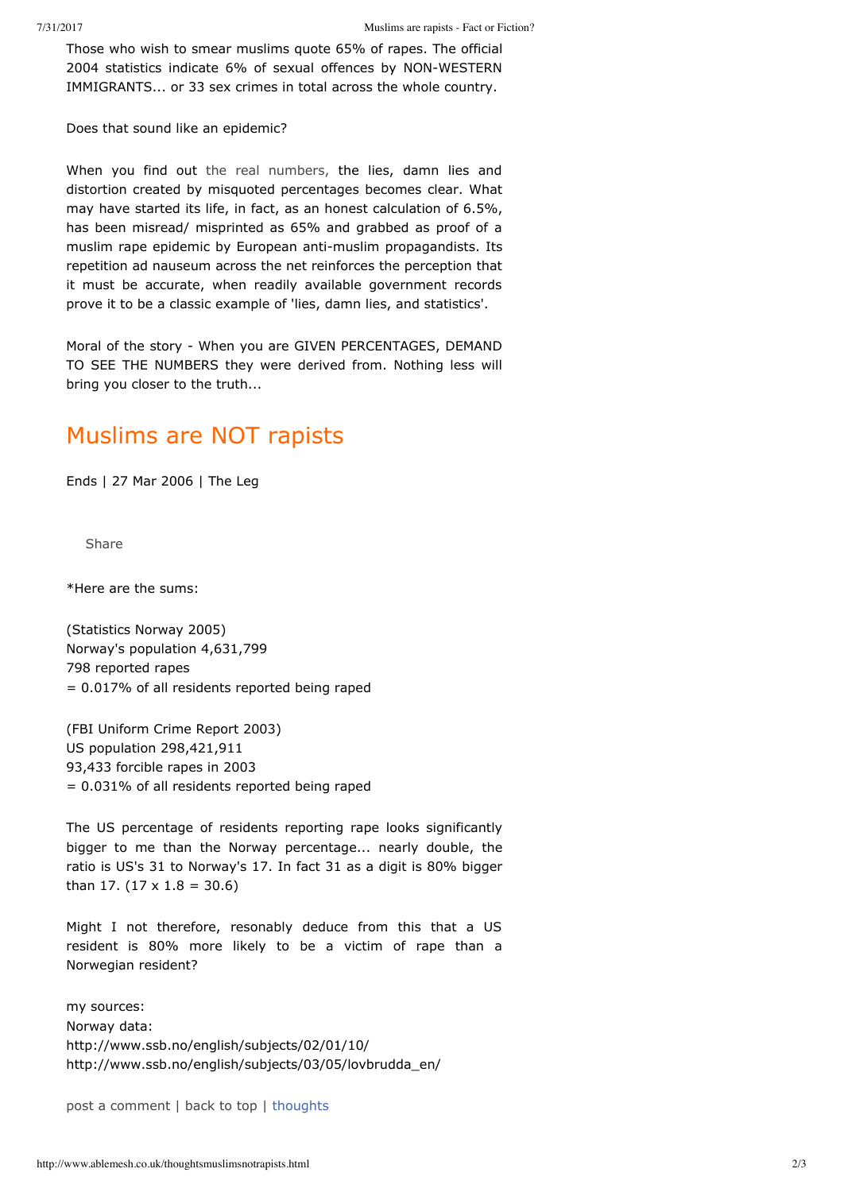Those who wish to smear muslims quote 65% of rapes. The official 2004 statistics indicate 6% of sexual offences by NON-WESTERN IMMIGRANTS... or 33 sex crimes in total across the whole country.

Does that sound like an epidemic?

When you find out the real [numbers,](http://www.ssb.no/english/subjects/03/05/a_krim_tab_en/tab/tab-2005-12-14-44-en.html) the lies, damn lies and distortion created by misquoted percentages becomes clear. What may have started its life, in fact, as an honest calculation of 6.5%, has been misread/ misprinted as 65% and grabbed as proof of a muslim rape epidemic by European anti-muslim propagandists. Its repetition ad nauseum across the net reinforces the perception that it must be accurate, when readily available government records prove it to be a classic example of 'lies, damn lies, and statistics'.

Moral of the story - When you are GIVEN PERCENTAGES, DEMAND TO SEE THE NUMBERS they were derived from. Nothing less will bring you closer to the truth...

## Muslims are NOT rapists

Ends | 27 Mar 2006 | The Leg

[Share](http://www.addthis.com/bookmark.php?v=250&username=xa-4c22425a192602b7)

\*Here are the sums:

(Statistics Norway 2005) Norway's population 4,631,799 798 reported rapes = 0.017% of all residents reported being raped

(FBI Uniform Crime Report 2003) US population 298,421,911 93,433 forcible rapes in 2003 = 0.031% of all residents reported being raped

The US percentage of residents reporting rape looks significantly bigger to me than the Norway percentage... nearly double, the ratio is US's 31 to Norway's 17. In fact 31 as a digit is 80% bigger than 17.  $(17 \times 1.8 = 30.6)$ 

Might I not therefore, resonably deduce from this that a US resident is 80% more likely to be a victim of rape than a Norwegian resident?

my sources: Norway data: http://www.ssb.no/english/subjects/02/01/10/ http://www.ssb.no/english/subjects/03/05/lovbrudda\_en/

[post a comment](http://www.blogger.com/comment.g?blogID=33532451&postID=115689567666333071) | [back to top](#page-0-0) | [thoughts](http://www.ablemesh.co.uk/thoughts.html)